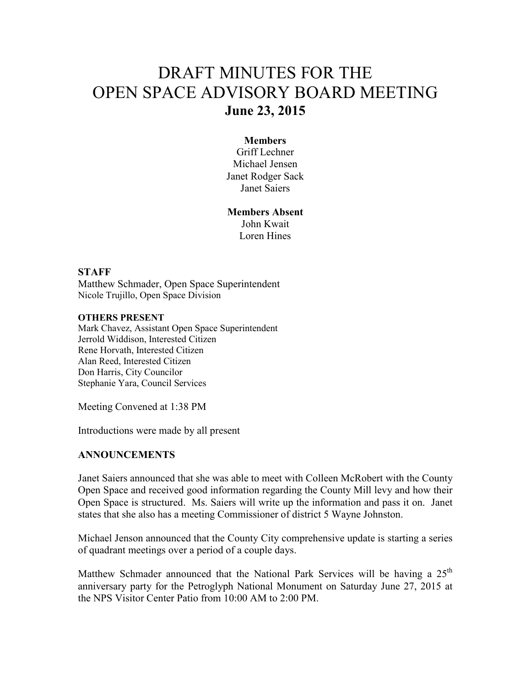# DRAFT MINUTES FOR THE OPEN SPACE ADVISORY BOARD MEETING **June 23, 2015**

### **Members**

Griff Lechner Michael Jensen Janet Rodger Sack Janet Saiers

**Members Absent**  John Kwait Loren Hines

#### **STAFF**

Matthew Schmader, Open Space Superintendent Nicole Trujillo, Open Space Division

#### **OTHERS PRESENT**

Mark Chavez, Assistant Open Space Superintendent Jerrold Widdison, Interested Citizen Rene Horvath, Interested Citizen Alan Reed, Interested Citizen Don Harris, City Councilor Stephanie Yara, Council Services

Meeting Convened at 1:38 PM

Introductions were made by all present

## **ANNOUNCEMENTS**

Janet Saiers announced that she was able to meet with Colleen McRobert with the County Open Space and received good information regarding the County Mill levy and how their Open Space is structured. Ms. Saiers will write up the information and pass it on. Janet states that she also has a meeting Commissioner of district 5 Wayne Johnston.

Michael Jenson announced that the County City comprehensive update is starting a series of quadrant meetings over a period of a couple days.

Matthew Schmader announced that the National Park Services will be having a 25<sup>th</sup> anniversary party for the Petroglyph National Monument on Saturday June 27, 2015 at the NPS Visitor Center Patio from 10:00 AM to 2:00 PM.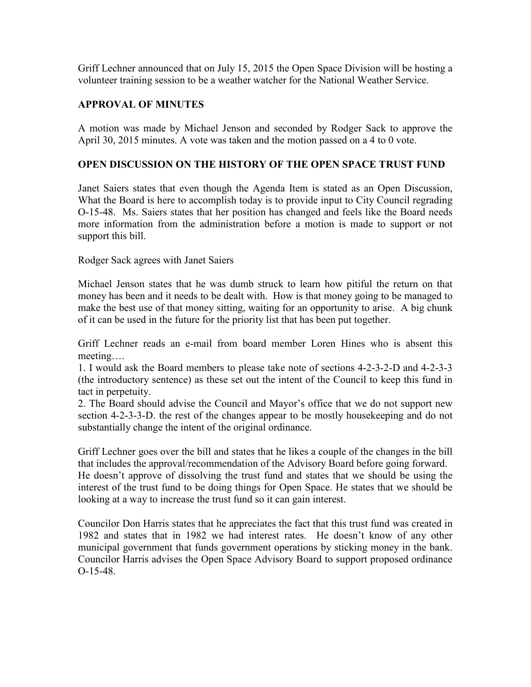Griff Lechner announced that on July 15, 2015 the Open Space Division will be hosting a volunteer training session to be a weather watcher for the National Weather Service.

# **APPROVAL OF MINUTES**

A motion was made by Michael Jenson and seconded by Rodger Sack to approve the April 30, 2015 minutes. A vote was taken and the motion passed on a 4 to 0 vote.

## **OPEN DISCUSSION ON THE HISTORY OF THE OPEN SPACE TRUST FUND**

Janet Saiers states that even though the Agenda Item is stated as an Open Discussion, What the Board is here to accomplish today is to provide input to City Council regrading O-15-48. Ms. Saiers states that her position has changed and feels like the Board needs more information from the administration before a motion is made to support or not support this bill.

Rodger Sack agrees with Janet Saiers

Michael Jenson states that he was dumb struck to learn how pitiful the return on that money has been and it needs to be dealt with. How is that money going to be managed to make the best use of that money sitting, waiting for an opportunity to arise. A big chunk of it can be used in the future for the priority list that has been put together.

Griff Lechner reads an e-mail from board member Loren Hines who is absent this meeting….

1. I would ask the Board members to please take note of sections 4-2-3-2-D and 4-2-3-3 (the introductory sentence) as these set out the intent of the Council to keep this fund in tact in perpetuity.

2. The Board should advise the Council and Mayor's office that we do not support new section 4-2-3-3-D. the rest of the changes appear to be mostly housekeeping and do not substantially change the intent of the original ordinance.

Griff Lechner goes over the bill and states that he likes a couple of the changes in the bill that includes the approval/recommendation of the Advisory Board before going forward. He doesn't approve of dissolving the trust fund and states that we should be using the interest of the trust fund to be doing things for Open Space. He states that we should be looking at a way to increase the trust fund so it can gain interest.

Councilor Don Harris states that he appreciates the fact that this trust fund was created in 1982 and states that in 1982 we had interest rates. He doesn't know of any other municipal government that funds government operations by sticking money in the bank. Councilor Harris advises the Open Space Advisory Board to support proposed ordinance O-15-48.